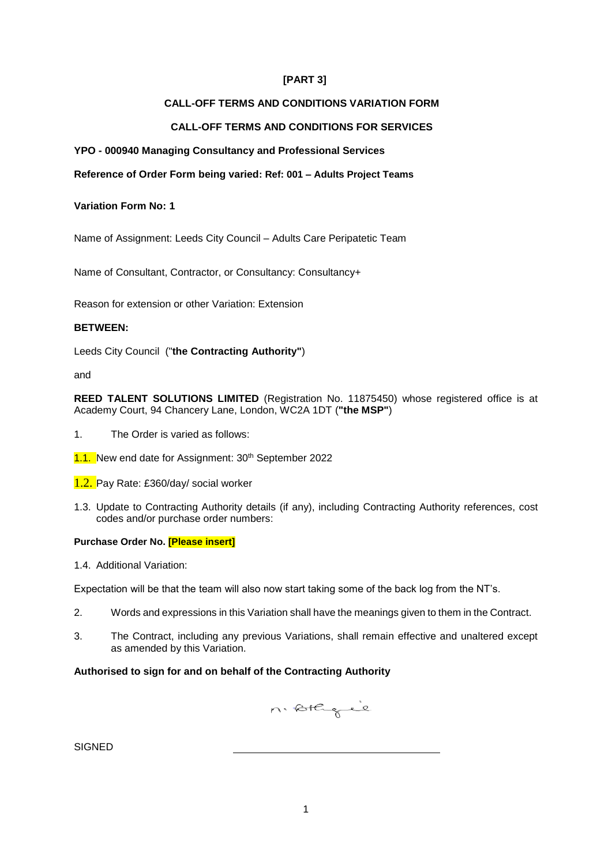# **[PART 3]**

# **CALL-OFF TERMS AND CONDITIONS VARIATION FORM**

# **CALL-OFF TERMS AND CONDITIONS FOR SERVICES**

## **YPO - 000940 Managing Consultancy and Professional Services**

## **Reference of Order Form being varied: Ref: 001 – Adults Project Teams**

### **Variation Form No: 1**

Name of Assignment: Leeds City Council – Adults Care Peripatetic Team

Name of Consultant, Contractor, or Consultancy: Consultancy+

Reason for extension or other Variation: Extension

#### **BETWEEN:**

Leeds City Council ("**the Contracting Authority"**)

and

**REED TALENT SOLUTIONS LIMITED** (Registration No. 11875450) whose registered office is at Academy Court, 94 Chancery Lane, London, WC2A 1DT (**"the MSP"**)

- 1. The Order is varied as follows:
- 1.1. New end date for Assignment: 30<sup>th</sup> September 2022
- 1.2. Pay Rate: £360/day/ social worker
- 1.3. Update to Contracting Authority details (if any), including Contracting Authority references, cost codes and/or purchase order numbers:

#### **Purchase Order No. [Please insert]**

1.4. Additional Variation:

Expectation will be that the team will also now start taking some of the back log from the NT's.

- 2. Words and expressions in this Variation shall have the meanings given to them in the Contract.
- 3. The Contract, including any previous Variations, shall remain effective and unaltered except as amended by this Variation.

#### **Authorised to sign for and on behalf of the Contracting Authority**

n. stagie

**SIGNED**